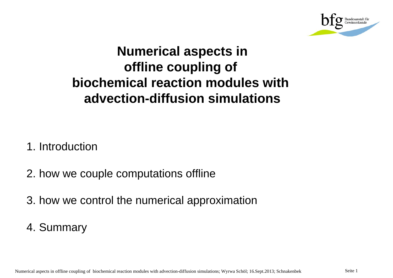

## **Numerical aspects in offline coupling of biochemical reaction modules with advection-diffusion simulations**

- 1. Introduction
- 2. how we couple computations offline
- 3. how we control the numerical approximation
- 4. Summary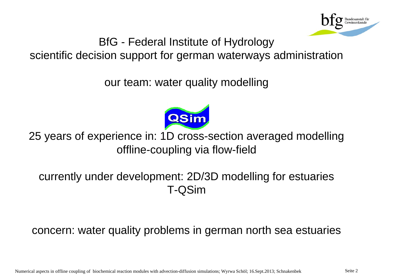

BfG - Federal Institute of Hydrology scientific decision support for german waterways administration

our team: water quality modelling



25 years of experience in: 1D cross-section averaged modelling offline-coupling via flow-field

currently under development: 2D/3D modelling for estuaries T-QSim

concern: water quality problems in german north sea estuaries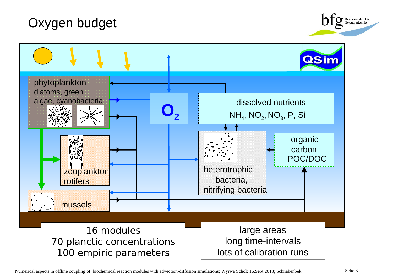



Numerical aspects in offline coupling of biochemical reaction modules with advection-diffusion simulations; Wyrwa Schöl; 16.Sept.2013; Schnakenbek Seite 3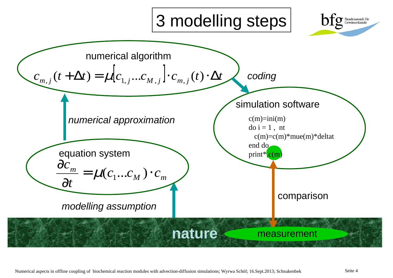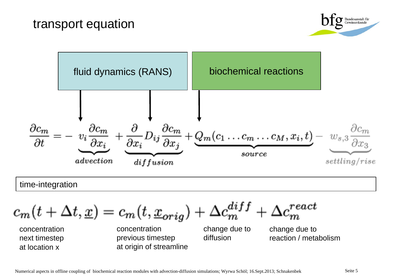



$$
c_m(t + \Delta t, \underline{x}) = c_m(t, \underline{x}_{orig}) + \Delta c_m^{diff} + \Delta c_m^{react}
$$

concentration next timestep at location x

concentration previous timestep at origin of streamline

change due to diffusion

change due to reaction / metabolism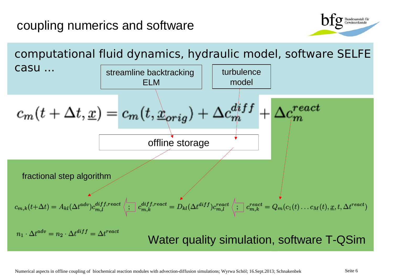## coupling numerics and software



computational fluid dynamics, hydraulic model, software SELFE Casu ... **The internal intervalse of the intervalse of the intervalse of the intervalse of the intervalse of the intervalse of the intervalse of the intervalse of the intervalse of the intervalse of the intervalse of the i** ELM model $c_m(t + \Delta t, \underline{x}) = c_m(t, \underline{\Delta}_{orig}) + \Delta c_m^{diff}$  $\emph{each}$ offline storage fractional step algorithm  $c_{m,k}(t+\Delta t) = A_{kl}(\Delta t^{adv})c_{m,l}^{diff, react}\left\langle \prod_{m,k}c_{m,k}^{diff,react} = D_{kl}(\Delta t^{diff})c_{m,l}^{react}\left\langle \prod_{m,k}c_{m,k}^{react} = Q_m(c_1(t)\dots c_M(t), \underline{x}, t, \Delta t^{react})\right\rangle\right.$  $n_1 \cdot \Delta t^{adv} = n_2 \cdot \Delta t^{diff} = \Delta t^{react}$ Water quality simulation, software T-QSim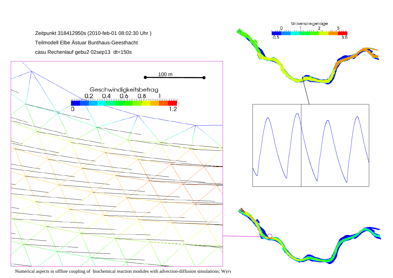

Numerical aspects in offline coupling of biochemical reaction modules with advection-diffusion simulations; Wyrv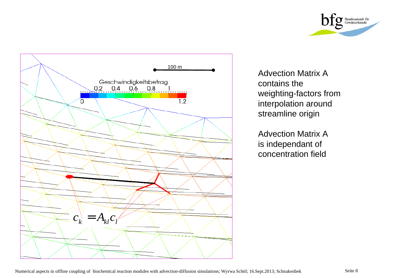



Advection Matrix A contains the weighting-factors from interpolation around streamline origin

Advection Matrix A is independant of concentration field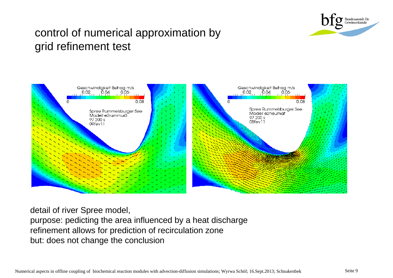

## control of numerical approximation by grid refinement test



detail of river Spree model, purpose: pedicting the area influenced by a heat discharge refinement allows for prediction of recirculation zone but: does not change the conclusion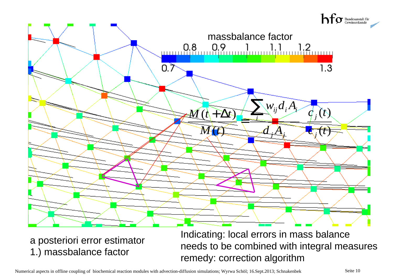

a posteriori error estimator 1.) massbalance factor

Indicating: local errors in mass balance needs to be combined with integral measures remedy: correction algorithm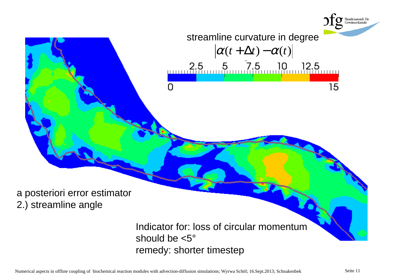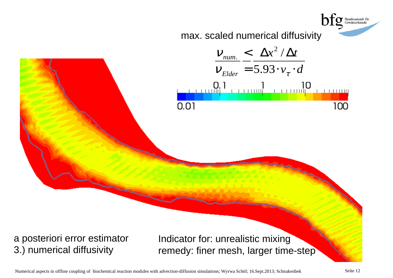

Numerical aspects in offline coupling of biochemical reaction modules with advection-diffusion simulations; Wyrwa Schöl; 16.Sept.2013; Schnakenbek Seite 12